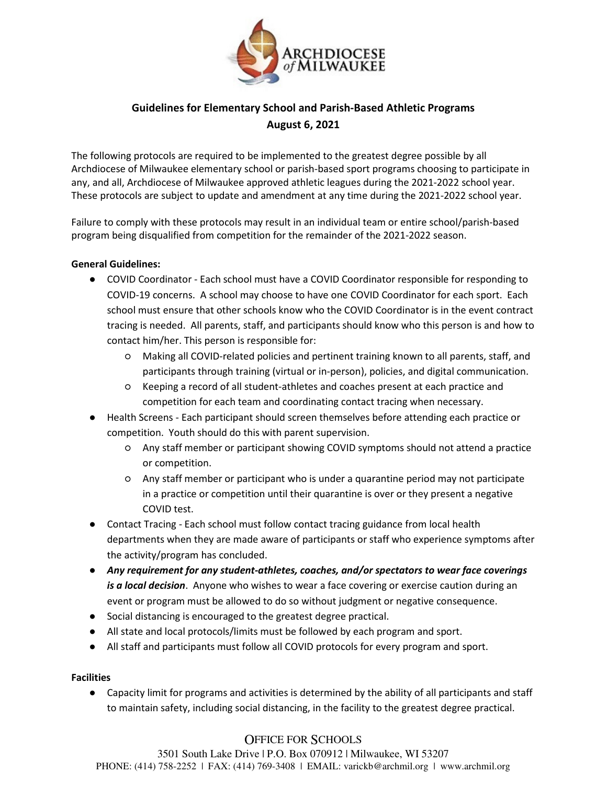

# **Guidelines for Elementary School and Parish-Based Athletic Programs August 6, 2021**

The following protocols are required to be implemented to the greatest degree possible by all Archdiocese of Milwaukee elementary school or parish-based sport programs choosing to participate in any, and all, Archdiocese of Milwaukee approved athletic leagues during the 2021-2022 school year. These protocols are subject to update and amendment at any time during the 2021-2022 school year.

Failure to comply with these protocols may result in an individual team or entire school/parish-based program being disqualified from competition for the remainder of the 2021-2022 season.

### **General Guidelines:**

- COVID Coordinator Each school must have a COVID Coordinator responsible for responding to COVID-19 concerns. A school may choose to have one COVID Coordinator for each sport. Each school must ensure that other schools know who the COVID Coordinator is in the event contract tracing is needed. All parents, staff, and participants should know who this person is and how to contact him/her. This person is responsible for:
	- Making all COVID-related policies and pertinent training known to all parents, staff, and participants through training (virtual or in-person), policies, and digital communication.
	- Keeping a record of all student-athletes and coaches present at each practice and competition for each team and coordinating contact tracing when necessary.
- Health Screens Each participant should screen themselves before attending each practice or competition. Youth should do this with parent supervision.
	- Any staff member or participant showing COVID symptoms should not attend a practice or competition.
	- Any staff member or participant who is under a quarantine period may not participate in a practice or competition until their quarantine is over or they present a negative COVID test.
- Contact Tracing Each school must follow contact tracing guidance from local health departments when they are made aware of participants or staff who experience symptoms after the activity/program has concluded.
- *Any requirement for any student-athletes, coaches, and/or spectators to wear face coverings is a local decision*. Anyone who wishes to wear a face covering or exercise caution during an event or program must be allowed to do so without judgment or negative consequence.
- Social distancing is encouraged to the greatest degree practical.
- All state and local protocols/limits must be followed by each program and sport.
- All staff and participants must follow all COVID protocols for every program and sport.

#### **Facilities**

● Capacity limit for programs and activities is determined by the ability of all participants and staff to maintain safety, including social distancing, in the facility to the greatest degree practical.

## OFFICE FOR SCHOOLS

3501 South Lake Drive | P.O. Box 070912 | Milwaukee, WI 53207 PHONE: (414) 758-2252 | FAX: (414) 769-3408 | EMAIL: varickb@archmil.org | www.archmil.org